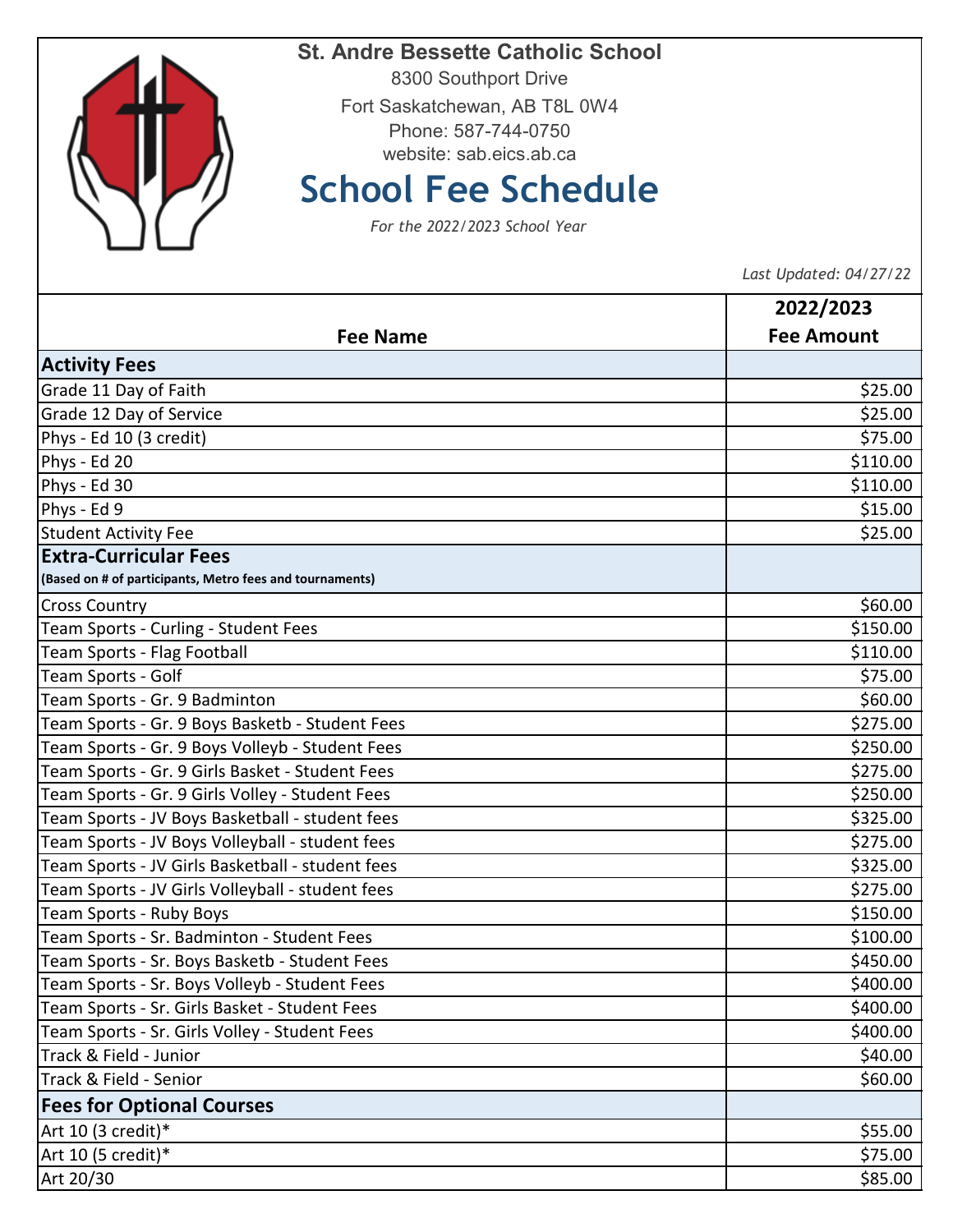

## **St. Andre Bessette Catholic School**

8300 Southport Drive Fort Saskatchewan, AB T8L 0W4 Phone: 587-744-0750 website: sab.eics.ab.ca

## **School Fee Schedule**

*For the 2022/2023 School Year*

 *Last Updated: 04/27/22* 

|                                                          | 2022/2023         |
|----------------------------------------------------------|-------------------|
| <b>Fee Name</b>                                          | <b>Fee Amount</b> |
| <b>Activity Fees</b>                                     |                   |
| Grade 11 Day of Faith                                    | \$25.00           |
| Grade 12 Day of Service                                  | \$25.00           |
| Phys - Ed 10 (3 credit)                                  | \$75.00           |
| Phys - Ed 20                                             | \$110.00          |
| Phys - Ed 30                                             | \$110.00          |
| Phys - Ed 9                                              | \$15.00           |
| <b>Student Activity Fee</b>                              | \$25.00           |
| <b>Extra-Curricular Fees</b>                             |                   |
| (Based on # of participants, Metro fees and tournaments) |                   |
| <b>Cross Country</b>                                     | \$60.00           |
| Team Sports - Curling - Student Fees                     | \$150.00          |
| Team Sports - Flag Football                              | \$110.00          |
| Team Sports - Golf                                       | \$75.00           |
| Team Sports - Gr. 9 Badminton                            | \$60.00           |
| Team Sports - Gr. 9 Boys Basketb - Student Fees          | \$275.00          |
| Team Sports - Gr. 9 Boys Volleyb - Student Fees          | \$250.00          |
| Team Sports - Gr. 9 Girls Basket - Student Fees          | \$275.00          |
| Team Sports - Gr. 9 Girls Volley - Student Fees          | \$250.00          |
| Team Sports - JV Boys Basketball - student fees          | \$325.00          |
| Team Sports - JV Boys Volleyball - student fees          | \$275.00          |
| Team Sports - JV Girls Basketball - student fees         | \$325.00          |
| Team Sports - JV Girls Volleyball - student fees         | \$275.00          |
| Team Sports - Ruby Boys                                  | \$150.00          |
| Team Sports - Sr. Badminton - Student Fees               | \$100.00          |
| Team Sports - Sr. Boys Basketb - Student Fees            | \$450.00          |
| Team Sports - Sr. Boys Volleyb - Student Fees            | \$400.00          |
| Team Sports - Sr. Girls Basket - Student Fees            | \$400.00          |
| Team Sports - Sr. Girls Volley - Student Fees            | \$400.00          |
| Track & Field - Junior                                   | \$40.00           |
| Track & Field - Senior                                   | \$60.00           |
| <b>Fees for Optional Courses</b>                         |                   |
| Art 10 (3 credit)*                                       | \$55.00           |
| Art 10 (5 credit)*                                       | \$75.00           |
| Art 20/30                                                | \$85.00           |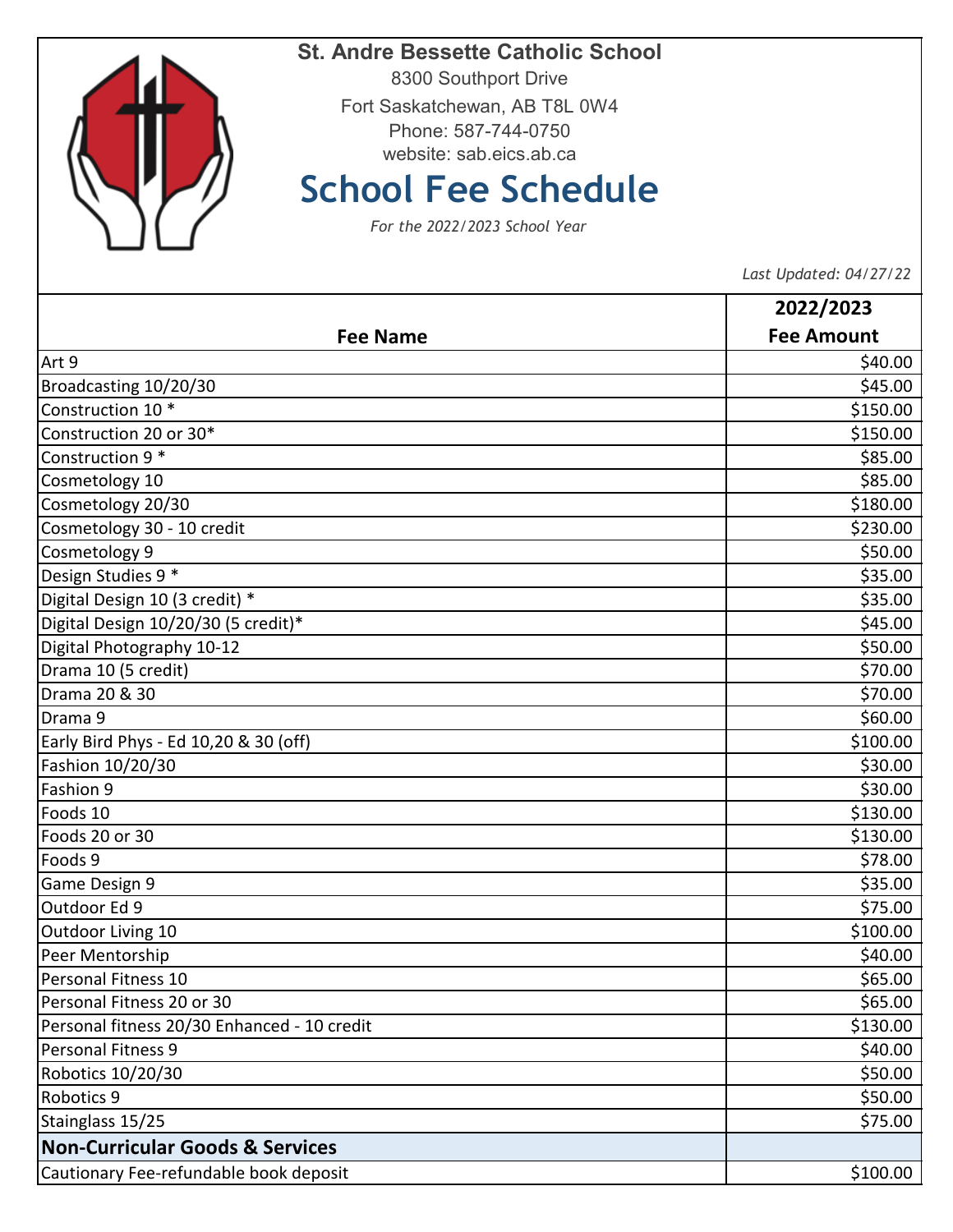

## **St. Andre Bessette Catholic School**

8300 Southport Drive Fort Saskatchewan, AB T8L 0W4 Phone: 587-744-0750 website: sab.eics.ab.ca

## **School Fee Schedule**

*For the 2022/2023 School Year*

 *Last Updated: 04/27/22* 

|                                             | 2022/2023         |
|---------------------------------------------|-------------------|
| <b>Fee Name</b>                             | <b>Fee Amount</b> |
| Art 9                                       | \$40.00           |
| Broadcasting 10/20/30                       | \$45.00           |
| Construction 10 *                           | \$150.00          |
| Construction 20 or 30*                      | \$150.00          |
| Construction 9 *                            | \$85.00           |
| Cosmetology 10                              | \$85.00           |
| Cosmetology 20/30                           | \$180.00          |
| Cosmetology 30 - 10 credit                  | \$230.00          |
| Cosmetology 9                               | \$50.00           |
| Design Studies 9 *                          | \$35.00           |
| Digital Design 10 (3 credit) *              | \$35.00           |
| Digital Design 10/20/30 (5 credit)*         | \$45.00           |
| Digital Photography 10-12                   | \$50.00           |
| Drama 10 (5 credit)                         | \$70.00           |
| Drama 20 & 30                               | \$70.00           |
| Drama 9                                     | \$60.00           |
| Early Bird Phys - Ed 10,20 & 30 (off)       | \$100.00          |
| Fashion 10/20/30                            | \$30.00           |
| Fashion 9                                   | \$30.00           |
| Foods 10                                    | \$130.00          |
| Foods 20 or 30                              | \$130.00          |
| Foods 9                                     | \$78.00           |
| Game Design 9                               | \$35.00           |
| Outdoor Ed 9                                | \$75.00           |
| Outdoor Living 10                           | \$100.00          |
| Peer Mentorship                             | \$40.00           |
| Personal Fitness 10                         | \$65.00           |
| Personal Fitness 20 or 30                   | \$65.00           |
| Personal fitness 20/30 Enhanced - 10 credit | \$130.00          |
| <b>Personal Fitness 9</b>                   | \$40.00           |
| Robotics 10/20/30                           | \$50.00           |
| Robotics 9                                  | \$50.00           |
| Stainglass 15/25                            | \$75.00           |
| <b>Non-Curricular Goods &amp; Services</b>  |                   |
| Cautionary Fee-refundable book deposit      | \$100.00          |